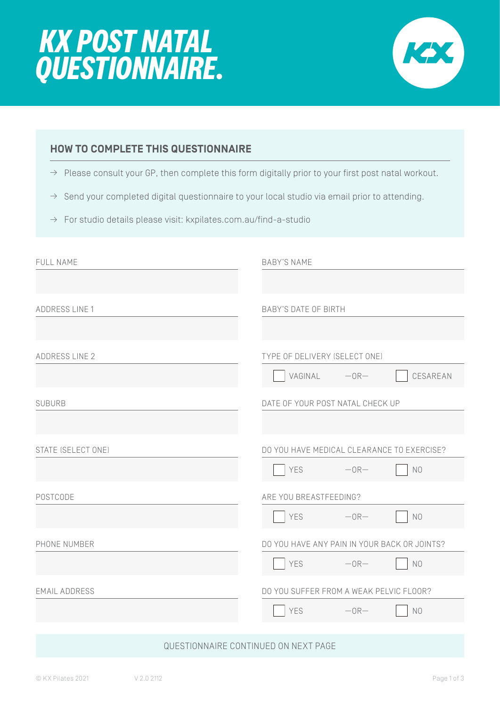



# **HOW TO COMPLETE THIS QUESTIONNAIRE**

- $\rightarrow$  Please consult your GP, then complete this form digitally prior to your first post natal workout.
- $\rightarrow$  Send your completed digital questionnaire to your local studio via email prior to attending.
- $\rightarrow$  For studio details please visit: kxpilates.com.au/find-a-studio

| FULL NAME                            | <b>BABY'S NAME</b>                           |  |
|--------------------------------------|----------------------------------------------|--|
|                                      |                                              |  |
| <b>ADDRESS LINE 1</b>                | <b>BABY'S DATE OF BIRTH</b>                  |  |
|                                      |                                              |  |
| <b>ADDRESS LINE 2</b>                | TYPE OF DELIVERY (SELECT ONE)                |  |
|                                      | CESAREAN<br>VAGINAL - OR-                    |  |
| <b>SUBURB</b>                        | DATE OF YOUR POST NATAL CHECK UP             |  |
|                                      |                                              |  |
| STATE (SELECT ONE)                   | DO YOU HAVE MEDICAL CLEARANCE TO EXERCISE?   |  |
|                                      | YES<br>$-0R-$<br>N <sub>0</sub>              |  |
| POSTCODE                             | ARE YOU BREASTFEEDING?                       |  |
|                                      | YES<br>$-0R-$<br>N <sub>0</sub>              |  |
| PHONE NUMBER                         | DO YOU HAVE ANY PAIN IN YOUR BACK OR JOINTS? |  |
|                                      | YES<br>$-OR-$<br>N <sub>0</sub>              |  |
| <b>EMAIL ADDRESS</b>                 | DO YOU SUFFER FROM A WEAK PELVIC FLOOR?      |  |
|                                      | YES<br>$-0R-$<br>N <sub>0</sub>              |  |
|                                      |                                              |  |
| QUESTIONNAIRE CONTINUED ON NEXT PAGE |                                              |  |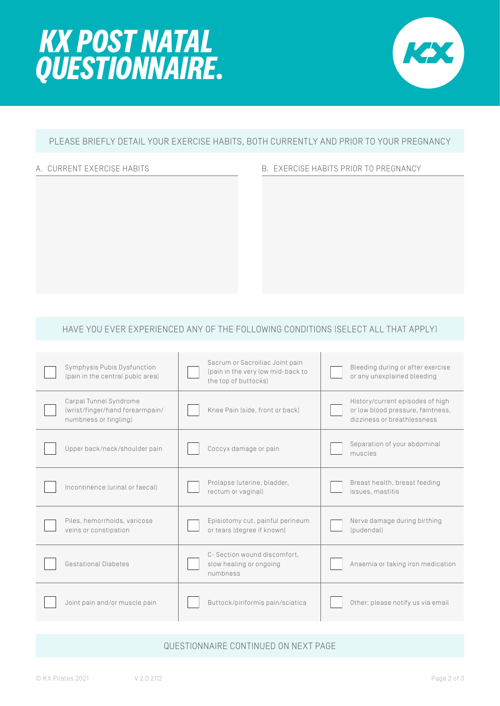



## PLEASE BRIEFLY DETAIL YOUR EXERCISE HABITS, BOTH CURRENTLY AND PRIOR TO YOUR PREGNANCY

#### A. CURRENT EXERCISE HABITS **B. EXERCISE HABITS PRIOR TO PREGNANCY**

#### HAVE YOU EVER EXPERIENCED ANY OF THE FOLLOWING CONDITIONS (SELECT ALL THAT APPLY)

| Symphysis Pubis Dysfunction<br>(pain in the central pubic area)                    | Sacrum or Sacroiliac Joint pain<br>(pain in the very low mid-back to<br>the top of buttocks) | Bleeding during or after exercise<br>or any unexplained bleeding                                     |
|------------------------------------------------------------------------------------|----------------------------------------------------------------------------------------------|------------------------------------------------------------------------------------------------------|
| Carpal Tunnel Syndrome<br>(wrist/finger/hand forearmpain/<br>numbness or tingling) | Knee Pain (side, front or back)                                                              | History/current episodes of high<br>or low blood pressure, faintness,<br>dizziness or breathlessness |
| Upper back/neck/shoulder pain                                                      | Coccyx damage or pain                                                                        | Separation of your abdominal<br>muscles                                                              |
| Incontinence [urinal or faecal]                                                    | Prolapse (uterine, bladder,<br>rectum or vaginal)                                            | Breast health, breast feeding<br>issues, mastitis                                                    |
| Piles, hemorrhoids, varicose<br>veins or constipation                              | Episiotomy cut, painful perineum<br>or tears (degree if known)                               | Nerve damage during birthing<br>(pudendal)                                                           |
| Gestational Diabetes                                                               | C-Section wound discomfort.<br>slow healing or ongoing<br>numbness                           | Anaemia or taking iron medication                                                                    |
| Joint pain and/or muscle pain                                                      | Buttock/piriformis pain/sciatica                                                             | Other: please notify us via email                                                                    |

### QUESTIONNAIRE CONTINUED ON NEXT PAGE